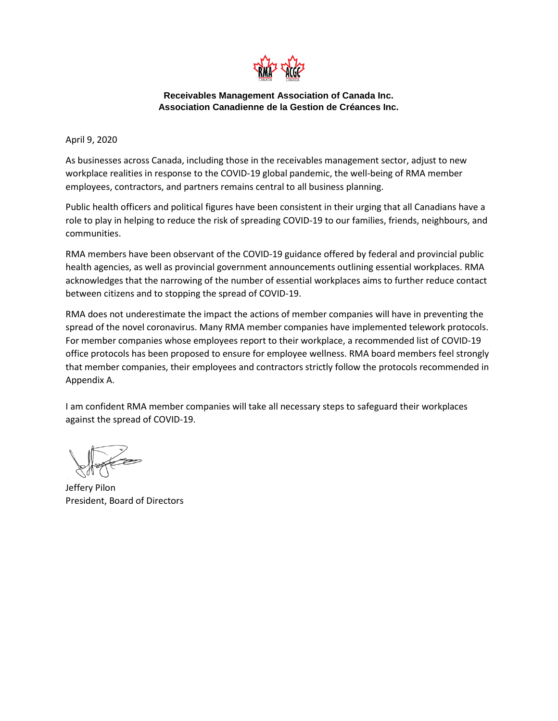

## **Receivables Management Association of Canada Inc. Association Canadienne de la Gestion de Créances Inc.**

April 9, 2020

As businesses across Canada, including those in the receivables management sector, adjust to new workplace realities in response to the COVID-19 global pandemic, the well-being of RMA member employees, contractors, and partners remains central to all business planning.

Public health officers and political figures have been consistent in their urging that all Canadians have a role to play in helping to reduce the risk of spreading COVID-19 to our families, friends, neighbours, and communities.

RMA members have been observant of the COVID-19 guidance offered by federal and provincial public health agencies, as well as provincial government announcements outlining essential workplaces. RMA acknowledges that the narrowing of the number of essential workplaces aims to further reduce contact between citizens and to stopping the spread of COVID-19.

RMA does not underestimate the impact the actions of member companies will have in preventing the spread of the novel coronavirus. Many RMA member companies have implemented telework protocols. For member companies whose employees report to their workplace, a recommended list of COVID-19 office protocols has been proposed to ensure for employee wellness. RMA board members feel strongly that member companies, their employees and contractors strictly follow the protocols recommended in Appendix A.

I am confident RMA member companies will take all necessary steps to safeguard their workplaces against the spread of COVID-19.

Jeffery Pilon President, Board of Directors